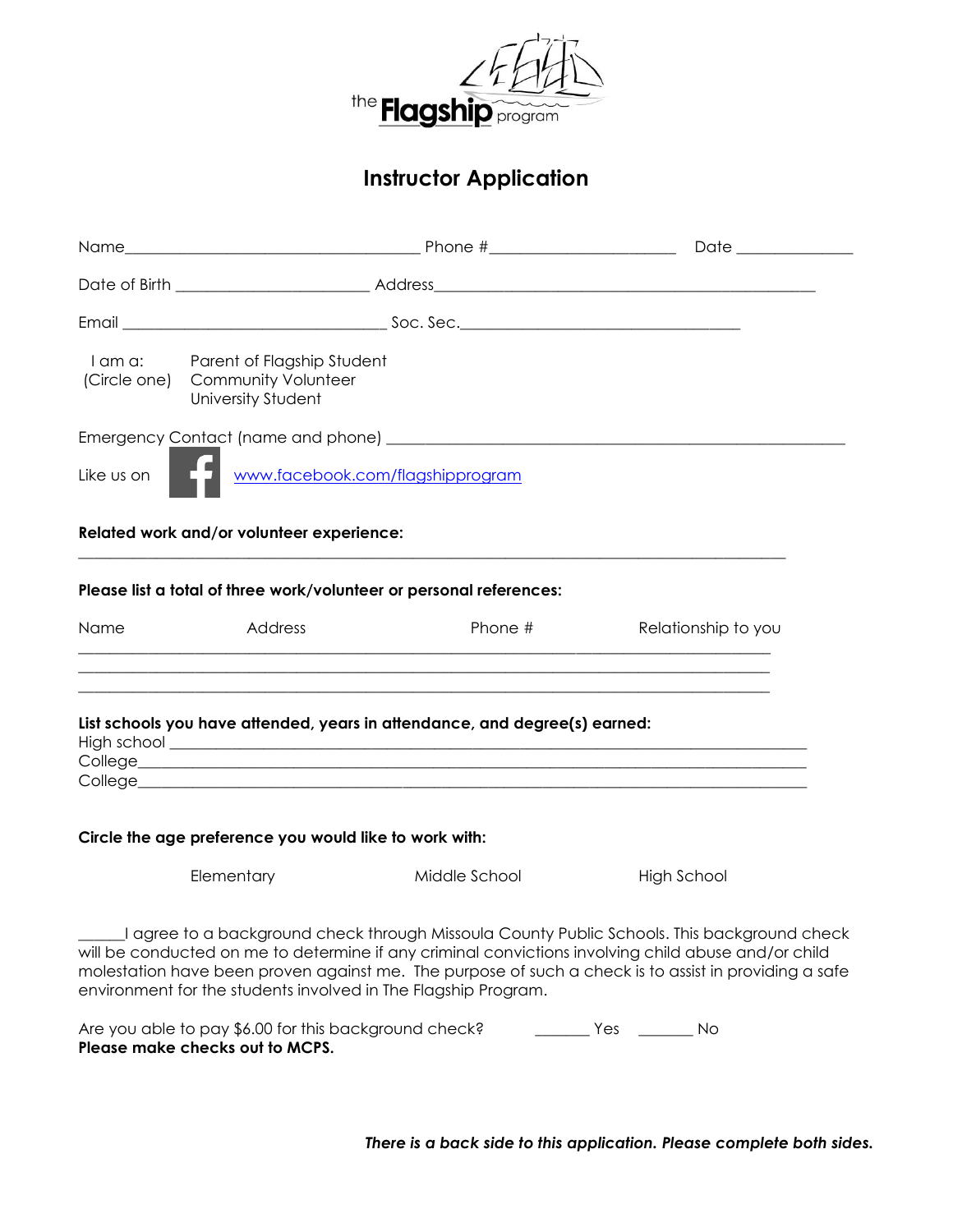

# **Instructor Application**

| I am a:    | Parent of Flagship Student<br>(Circle one) Community Volunteer<br><b>University Student</b> |                                                                            |                                                                                                                                                                                                                                                                                                           |  |  |
|------------|---------------------------------------------------------------------------------------------|----------------------------------------------------------------------------|-----------------------------------------------------------------------------------------------------------------------------------------------------------------------------------------------------------------------------------------------------------------------------------------------------------|--|--|
|            |                                                                                             |                                                                            |                                                                                                                                                                                                                                                                                                           |  |  |
| Like us on | www.facebook.com/flagshipprogram                                                            |                                                                            |                                                                                                                                                                                                                                                                                                           |  |  |
|            | Related work and/or volunteer experience:                                                   |                                                                            |                                                                                                                                                                                                                                                                                                           |  |  |
|            |                                                                                             | Please list a total of three work/volunteer or personal references:        |                                                                                                                                                                                                                                                                                                           |  |  |
| Name       | Address                                                                                     | Phone #                                                                    | Relationship to you                                                                                                                                                                                                                                                                                       |  |  |
|            |                                                                                             | List schools you have attended, years in attendance, and degree(s) earned: |                                                                                                                                                                                                                                                                                                           |  |  |
|            | Circle the age preference you would like to work with:                                      |                                                                            |                                                                                                                                                                                                                                                                                                           |  |  |
|            | Elementary                                                                                  | Middle School                                                              | <b>High School</b>                                                                                                                                                                                                                                                                                        |  |  |
|            | environment for the students involved in The Flagship Program.                              |                                                                            | agree to a background check through Missoula County Public Schools. This background check<br>will be conducted on me to determine if any criminal convictions involving child abuse and/or child<br>molestation have been proven against me. The purpose of such a check is to assist in providing a safe |  |  |
|            | Are you able to pay \$6.00 for this background check?<br>Please make checks out to MCPS.    |                                                                            | ___________ Yes __________ No                                                                                                                                                                                                                                                                             |  |  |

*There is a back side to this application. Please complete both sides.*